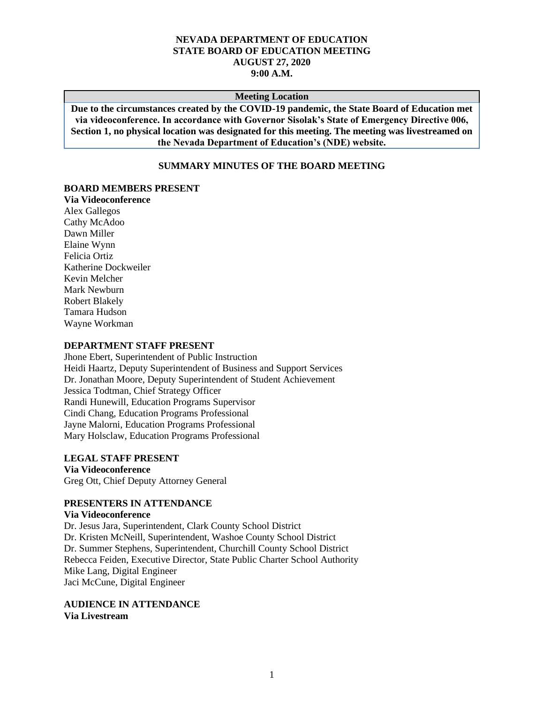## **NEVADA DEPARTMENT OF EDUCATION STATE BOARD OF EDUCATION MEETING AUGUST 27, 2020 9:00 A.M.**

#### **Meeting Location**

**Due to the circumstances created by the COVID-19 pandemic, the State Board of Education met via videoconference. In accordance with Governor Sisolak's State of Emergency Directive 006, Section 1, no physical location was designated for this meeting. The meeting was livestreamed on the Nevada Department of Education's (NDE) website.**

## **SUMMARY MINUTES OF THE BOARD MEETING**

#### **BOARD MEMBERS PRESENT**

**Via Videoconference** Alex Gallegos Cathy McAdoo Dawn Miller Elaine Wynn Felicia Ortiz Katherine Dockweiler Kevin Melcher Mark Newburn Robert Blakely Tamara Hudson Wayne Workman

#### **DEPARTMENT STAFF PRESENT**

Jhone Ebert, Superintendent of Public Instruction Heidi Haartz, Deputy Superintendent of Business and Support Services Dr. Jonathan Moore, Deputy Superintendent of Student Achievement Jessica Todtman, Chief Strategy Officer Randi Hunewill, Education Programs Supervisor Cindi Chang, Education Programs Professional Jayne Malorni, Education Programs Professional Mary Holsclaw, Education Programs Professional

#### **LEGAL STAFF PRESENT**

**Via Videoconference** Greg Ott, Chief Deputy Attorney General

#### **PRESENTERS IN ATTENDANCE**

#### **Via Videoconference**

Dr. Jesus Jara, Superintendent, Clark County School District Dr. Kristen McNeill, Superintendent, Washoe County School District Dr. Summer Stephens, Superintendent, Churchill County School District Rebecca Feiden, Executive Director, State Public Charter School Authority Mike Lang, Digital Engineer Jaci McCune, Digital Engineer

**AUDIENCE IN ATTENDANCE Via Livestream**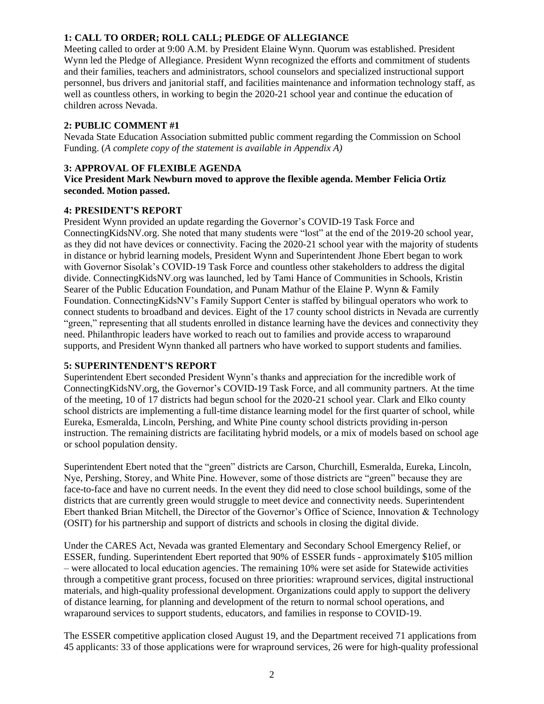# **1: CALL TO ORDER; ROLL CALL; PLEDGE OF ALLEGIANCE**

Meeting called to order at 9:00 A.M. by President Elaine Wynn. Quorum was established. President Wynn led the Pledge of Allegiance. President Wynn recognized the efforts and commitment of students and their families, teachers and administrators, school counselors and specialized instructional support personnel, bus drivers and janitorial staff, and facilities maintenance and information technology staff, as well as countless others, in working to begin the 2020-21 school year and continue the education of children across Nevada.

# **2: PUBLIC COMMENT #1**

Nevada State Education Association submitted public comment regarding the Commission on School Funding. (*A complete copy of the statement is available in Appendix A)*

## **3: APPROVAL OF FLEXIBLE AGENDA**

**Vice President Mark Newburn moved to approve the flexible agenda. Member Felicia Ortiz seconded. Motion passed.** 

## **4: PRESIDENT'S REPORT**

President Wynn provided an update regarding the Governor's COVID-19 Task Force and ConnectingKidsNV.org. She noted that many students were "lost" at the end of the 2019-20 school year, as they did not have devices or connectivity. Facing the 2020-21 school year with the majority of students in distance or hybrid learning models, President Wynn and Superintendent Jhone Ebert began to work with Governor Sisolak's COVID-19 Task Force and countless other stakeholders to address the digital divide. ConnectingKidsNV.org was launched, led by Tami Hance of Communities in Schools, Kristin Searer of the Public Education Foundation, and Punam Mathur of the Elaine P. Wynn & Family Foundation. ConnectingKidsNV's Family Support Center is staffed by bilingual operators who work to connect students to broadband and devices. Eight of the 17 county school districts in Nevada are currently "green," representing that all students enrolled in distance learning have the devices and connectivity they need. Philanthropic leaders have worked to reach out to families and provide access to wraparound supports, and President Wynn thanked all partners who have worked to support students and families.

## **5: SUPERINTENDENT'S REPORT**

Superintendent Ebert seconded President Wynn's thanks and appreciation for the incredible work of ConnectingKidsNV.org, the Governor's COVID-19 Task Force, and all community partners. At the time of the meeting, 10 of 17 districts had begun school for the 2020-21 school year. Clark and Elko county school districts are implementing a full-time distance learning model for the first quarter of school, while Eureka, Esmeralda, Lincoln, Pershing, and White Pine county school districts providing in-person instruction. The remaining districts are facilitating hybrid models, or a mix of models based on school age or school population density.

Superintendent Ebert noted that the "green" districts are Carson, Churchill, Esmeralda, Eureka, Lincoln, Nye, Pershing, Storey, and White Pine. However, some of those districts are "green" because they are face-to-face and have no current needs. In the event they did need to close school buildings, some of the districts that are currently green would struggle to meet device and connectivity needs. Superintendent Ebert thanked Brian Mitchell, the Director of the Governor's Office of Science, Innovation & Technology (OSIT) for his partnership and support of districts and schools in closing the digital divide.

Under the CARES Act, Nevada was granted Elementary and Secondary School Emergency Relief, or ESSER, funding. Superintendent Ebert reported that 90% of ESSER funds - approximately \$105 million – were allocated to local education agencies. The remaining 10% were set aside for Statewide activities through a competitive grant process, focused on three priorities: wrapround services, digital instructional materials, and high-quality professional development. Organizations could apply to support the delivery of distance learning, for planning and development of the return to normal school operations, and wraparound services to support students, educators, and families in response to COVID-19.

The ESSER competitive application closed August 19, and the Department received 71 applications from 45 applicants: 33 of those applications were for wrapround services, 26 were for high-quality professional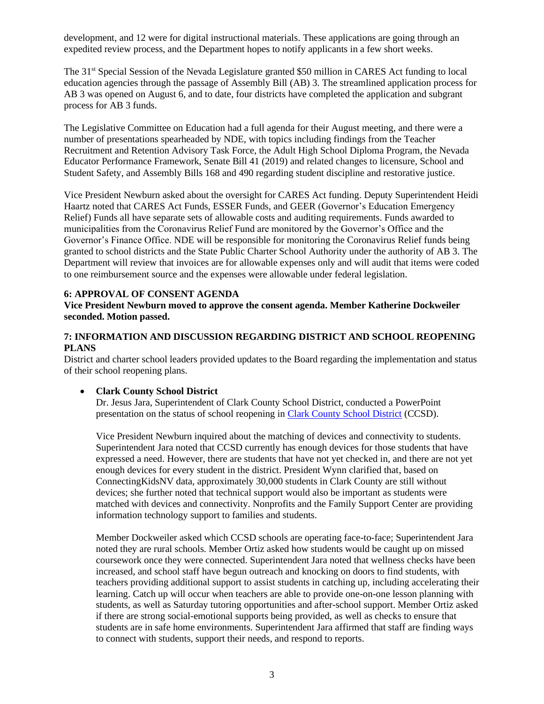development, and 12 were for digital instructional materials. These applications are going through an expedited review process, and the Department hopes to notify applicants in a few short weeks.

The 31<sup>st</sup> Special Session of the Nevada Legislature granted \$50 million in CARES Act funding to local education agencies through the passage of Assembly Bill (AB) 3. The streamlined application process for AB 3 was opened on August 6, and to date, four districts have completed the application and subgrant process for AB 3 funds.

The Legislative Committee on Education had a full agenda for their August meeting, and there were a number of presentations spearheaded by NDE, with topics including findings from the Teacher Recruitment and Retention Advisory Task Force, the Adult High School Diploma Program, the Nevada Educator Performance Framework, Senate Bill 41 (2019) and related changes to licensure, School and Student Safety, and Assembly Bills 168 and 490 regarding student discipline and restorative justice.

Vice President Newburn asked about the oversight for CARES Act funding. Deputy Superintendent Heidi Haartz noted that CARES Act Funds, ESSER Funds, and GEER (Governor's Education Emergency Relief) Funds all have separate sets of allowable costs and auditing requirements. Funds awarded to municipalities from the Coronavirus Relief Fund are monitored by the Governor's Office and the Governor's Finance Office. NDE will be responsible for monitoring the Coronavirus Relief funds being granted to school districts and the State Public Charter School Authority under the authority of AB 3. The Department will review that invoices are for allowable expenses only and will audit that items were coded to one reimbursement source and the expenses were allowable under federal legislation.

## **6: APPROVAL OF CONSENT AGENDA**

**Vice President Newburn moved to approve the consent agenda. Member Katherine Dockweiler seconded. Motion passed.** 

## **7: INFORMATION AND DISCUSSION REGARDING DISTRICT AND SCHOOL REOPENING PLANS**

District and charter school leaders provided updates to the Board regarding the implementation and status of their school reopening plans.

# • **Clark County School District**

Dr. Jesus Jara, Superintendent of Clark County School District, conducted a PowerPoint presentation on the status of school reopening in [Clark County School District](http://www.doe.nv.gov/uploadedFiles/ndedoenvgov/content/Boards_Commissions_Councils/State_Board_of_Education/2020/August/SuptJaraSBOE.pdf) (CCSD).

Vice President Newburn inquired about the matching of devices and connectivity to students. Superintendent Jara noted that CCSD currently has enough devices for those students that have expressed a need. However, there are students that have not yet checked in, and there are not yet enough devices for every student in the district. President Wynn clarified that, based on ConnectingKidsNV data, approximately 30,000 students in Clark County are still without devices; she further noted that technical support would also be important as students were matched with devices and connectivity. Nonprofits and the Family Support Center are providing information technology support to families and students.

Member Dockweiler asked which CCSD schools are operating face-to-face; Superintendent Jara noted they are rural schools. Member Ortiz asked how students would be caught up on missed coursework once they were connected. Superintendent Jara noted that wellness checks have been increased, and school staff have begun outreach and knocking on doors to find students, with teachers providing additional support to assist students in catching up, including accelerating their learning. Catch up will occur when teachers are able to provide one-on-one lesson planning with students, as well as Saturday tutoring opportunities and after-school support. Member Ortiz asked if there are strong social-emotional supports being provided, as well as checks to ensure that students are in safe home environments. Superintendent Jara affirmed that staff are finding ways to connect with students, support their needs, and respond to reports.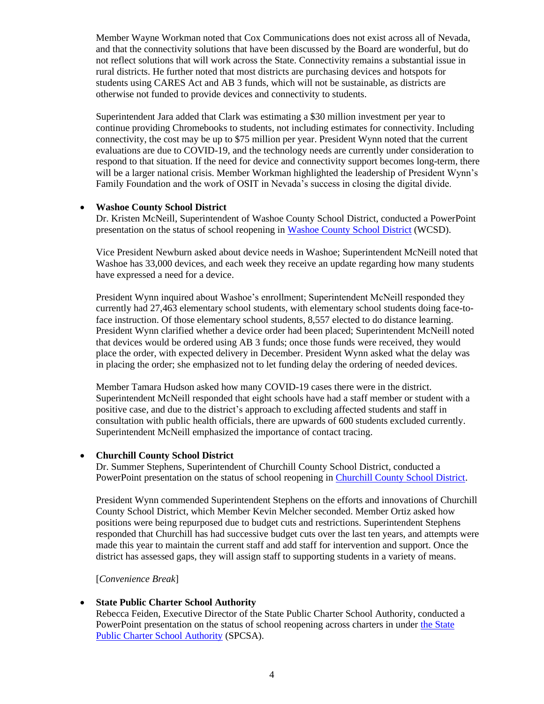Member Wayne Workman noted that Cox Communications does not exist across all of Nevada, and that the connectivity solutions that have been discussed by the Board are wonderful, but do not reflect solutions that will work across the State. Connectivity remains a substantial issue in rural districts. He further noted that most districts are purchasing devices and hotspots for students using CARES Act and AB 3 funds, which will not be sustainable, as districts are otherwise not funded to provide devices and connectivity to students.

Superintendent Jara added that Clark was estimating a \$30 million investment per year to continue providing Chromebooks to students, not including estimates for connectivity. Including connectivity, the cost may be up to \$75 million per year. President Wynn noted that the current evaluations are due to COVID-19, and the technology needs are currently under consideration to respond to that situation. If the need for device and connectivity support becomes long-term, there will be a larger national crisis. Member Workman highlighted the leadership of President Wynn's Family Foundation and the work of OSIT in Nevada's success in closing the digital divide.

## • **Washoe County School District**

Dr. Kristen McNeill, Superintendent of Washoe County School District, conducted a PowerPoint presentation on the status of school reopening in [Washoe County School District](http://www.doe.nv.gov/uploadedFiles/ndedoenvgov/content/Boards_Commissions_Councils/State_Board_of_Education/2020/August/2020_08_27_WCSDSchoolUpdate.pdf) (WCSD).

Vice President Newburn asked about device needs in Washoe; Superintendent McNeill noted that Washoe has 33,000 devices, and each week they receive an update regarding how many students have expressed a need for a device.

President Wynn inquired about Washoe's enrollment; Superintendent McNeill responded they currently had 27,463 elementary school students, with elementary school students doing face-toface instruction. Of those elementary school students, 8,557 elected to do distance learning. President Wynn clarified whether a device order had been placed; Superintendent McNeill noted that devices would be ordered using AB 3 funds; once those funds were received, they would place the order, with expected delivery in December. President Wynn asked what the delay was in placing the order; she emphasized not to let funding delay the ordering of needed devices.

Member Tamara Hudson asked how many COVID-19 cases there were in the district. Superintendent McNeill responded that eight schools have had a staff member or student with a positive case, and due to the district's approach to excluding affected students and staff in consultation with public health officials, there are upwards of 600 students excluded currently. Superintendent McNeill emphasized the importance of contact tracing.

## • **Churchill County School District**

Dr. Summer Stephens, Superintendent of Churchill County School District, conducted a PowerPoint presentation on the status of school reopening in [Churchill County School District.](http://www.doe.nv.gov/uploadedFiles/ndedoenvgov/content/Boards_Commissions_Councils/State_Board_of_Education/2020/August/ChurchillCSDReopening2020.pdf)

President Wynn commended Superintendent Stephens on the efforts and innovations of Churchill County School District, which Member Kevin Melcher seconded. Member Ortiz asked how positions were being repurposed due to budget cuts and restrictions. Superintendent Stephens responded that Churchill has had successive budget cuts over the last ten years, and attempts were made this year to maintain the current staff and add staff for intervention and support. Once the district has assessed gaps, they will assign staff to supporting students in a variety of means.

[*Convenience Break*]

## • **State Public Charter School Authority**

Rebecca Feiden, Executive Director of the State Public Charter School Authority, conducted a PowerPoint presentation on the status of school reopening across charters in under the State [Public Charter School Authority](http://www.doe.nv.gov/uploadedFiles/ndedoenvgov/content/Boards_Commissions_Councils/State_Board_of_Education/2020/August/SPCSA.pdf) (SPCSA).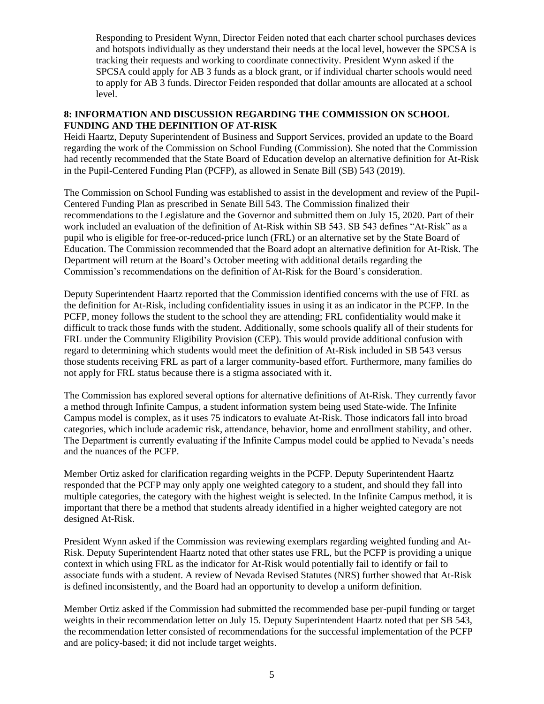Responding to President Wynn, Director Feiden noted that each charter school purchases devices and hotspots individually as they understand their needs at the local level, however the SPCSA is tracking their requests and working to coordinate connectivity. President Wynn asked if the SPCSA could apply for AB 3 funds as a block grant, or if individual charter schools would need to apply for AB 3 funds. Director Feiden responded that dollar amounts are allocated at a school level.

## **8: INFORMATION AND DISCUSSION REGARDING THE COMMISSION ON SCHOOL FUNDING AND THE DEFINITION OF AT-RISK**

Heidi Haartz, Deputy Superintendent of Business and Support Services, provided an update to the Board regarding the work of the Commission on School Funding (Commission). She noted that the Commission had recently recommended that the State Board of Education develop an alternative definition for At-Risk in the Pupil-Centered Funding Plan (PCFP), as allowed in Senate Bill (SB) 543 (2019).

The Commission on School Funding was established to assist in the development and review of the Pupil-Centered Funding Plan as prescribed in Senate Bill 543. The Commission finalized their recommendations to the Legislature and the Governor and submitted them on July 15, 2020. Part of their work included an evaluation of the definition of At-Risk within SB 543. SB 543 defines "At-Risk" as a pupil who is eligible for free-or-reduced-price lunch (FRL) or an alternative set by the State Board of Education. The Commission recommended that the Board adopt an alternative definition for At-Risk. The Department will return at the Board's October meeting with additional details regarding the Commission's recommendations on the definition of At-Risk for the Board's consideration.

Deputy Superintendent Haartz reported that the Commission identified concerns with the use of FRL as the definition for At-Risk, including confidentiality issues in using it as an indicator in the PCFP. In the PCFP, money follows the student to the school they are attending; FRL confidentiality would make it difficult to track those funds with the student. Additionally, some schools qualify all of their students for FRL under the Community Eligibility Provision (CEP). This would provide additional confusion with regard to determining which students would meet the definition of At-Risk included in SB 543 versus those students receiving FRL as part of a larger community-based effort. Furthermore, many families do not apply for FRL status because there is a stigma associated with it.

The Commission has explored several options for alternative definitions of At-Risk. They currently favor a method through Infinite Campus, a student information system being used State-wide. The Infinite Campus model is complex, as it uses 75 indicators to evaluate At-Risk. Those indicators fall into broad categories, which include academic risk, attendance, behavior, home and enrollment stability, and other. The Department is currently evaluating if the Infinite Campus model could be applied to Nevada's needs and the nuances of the PCFP.

Member Ortiz asked for clarification regarding weights in the PCFP. Deputy Superintendent Haartz responded that the PCFP may only apply one weighted category to a student, and should they fall into multiple categories, the category with the highest weight is selected. In the Infinite Campus method, it is important that there be a method that students already identified in a higher weighted category are not designed At-Risk.

President Wynn asked if the Commission was reviewing exemplars regarding weighted funding and At-Risk. Deputy Superintendent Haartz noted that other states use FRL, but the PCFP is providing a unique context in which using FRL as the indicator for At-Risk would potentially fail to identify or fail to associate funds with a student. A review of Nevada Revised Statutes (NRS) further showed that At-Risk is defined inconsistently, and the Board had an opportunity to develop a uniform definition.

Member Ortiz asked if the Commission had submitted the recommended base per-pupil funding or target weights in their recommendation letter on July 15. Deputy Superintendent Haartz noted that per SB 543, the recommendation letter consisted of recommendations for the successful implementation of the PCFP and are policy-based; it did not include target weights.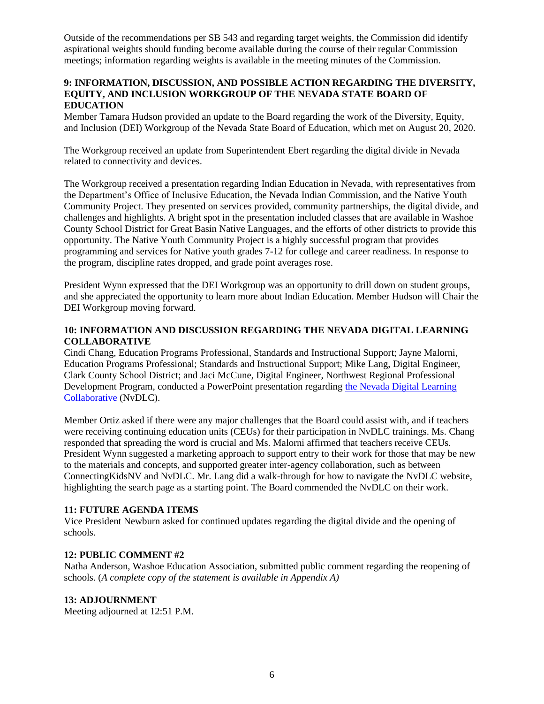Outside of the recommendations per SB 543 and regarding target weights, the Commission did identify aspirational weights should funding become available during the course of their regular Commission meetings; information regarding weights is available in the meeting minutes of the Commission.

## **9: INFORMATION, DISCUSSION, AND POSSIBLE ACTION REGARDING THE DIVERSITY, EQUITY, AND INCLUSION WORKGROUP OF THE NEVADA STATE BOARD OF EDUCATION**

Member Tamara Hudson provided an update to the Board regarding the work of the Diversity, Equity, and Inclusion (DEI) Workgroup of the Nevada State Board of Education, which met on August 20, 2020.

The Workgroup received an update from Superintendent Ebert regarding the digital divide in Nevada related to connectivity and devices.

The Workgroup received a presentation regarding Indian Education in Nevada, with representatives from the Department's Office of Inclusive Education, the Nevada Indian Commission, and the Native Youth Community Project. They presented on services provided, community partnerships, the digital divide, and challenges and highlights. A bright spot in the presentation included classes that are available in Washoe County School District for Great Basin Native Languages, and the efforts of other districts to provide this opportunity. The Native Youth Community Project is a highly successful program that provides programming and services for Native youth grades 7-12 for college and career readiness. In response to the program, discipline rates dropped, and grade point averages rose.

President Wynn expressed that the DEI Workgroup was an opportunity to drill down on student groups, and she appreciated the opportunity to learn more about Indian Education. Member Hudson will Chair the DEI Workgroup moving forward.

## **10: INFORMATION AND DISCUSSION REGARDING THE NEVADA DIGITAL LEARNING COLLABORATIVE**

Cindi Chang, Education Programs Professional, Standards and Instructional Support; Jayne Malorni, Education Programs Professional; Standards and Instructional Support; Mike Lang, Digital Engineer, Clark County School District; and Jaci McCune, Digital Engineer, Northwest Regional Professional Development Program, conducted a PowerPoint presentation regarding [the Nevada Digital Learning](http://www.doe.nv.gov/uploadedFiles/ndedoenvgov/content/Boards_Commissions_Councils/State_Board_of_Education/2020/August/NvDLCBoardPresentation.pdf)  [Collaborative](http://www.doe.nv.gov/uploadedFiles/ndedoenvgov/content/Boards_Commissions_Councils/State_Board_of_Education/2020/August/NvDLCBoardPresentation.pdf) (NvDLC).

Member Ortiz asked if there were any major challenges that the Board could assist with, and if teachers were receiving continuing education units (CEUs) for their participation in NvDLC trainings. Ms. Chang responded that spreading the word is crucial and Ms. Malorni affirmed that teachers receive CEUs. President Wynn suggested a marketing approach to support entry to their work for those that may be new to the materials and concepts, and supported greater inter-agency collaboration, such as between ConnectingKidsNV and NvDLC. Mr. Lang did a walk-through for how to navigate the NvDLC website, highlighting the search page as a starting point. The Board commended the NvDLC on their work.

## **11: FUTURE AGENDA ITEMS**

Vice President Newburn asked for continued updates regarding the digital divide and the opening of schools.

## **12: PUBLIC COMMENT #2**

Natha Anderson, Washoe Education Association, submitted public comment regarding the reopening of schools. (*A complete copy of the statement is available in Appendix A)*

## **13: ADJOURNMENT**

Meeting adjourned at 12:51 P.M.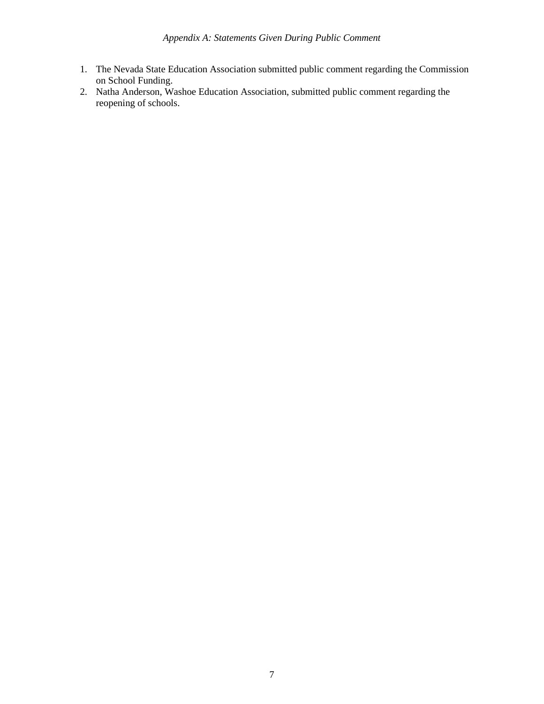- 1. The Nevada State Education Association submitted public comment regarding the Commission on School Funding.
- 2. Natha Anderson, Washoe Education Association, submitted public comment regarding the reopening of schools.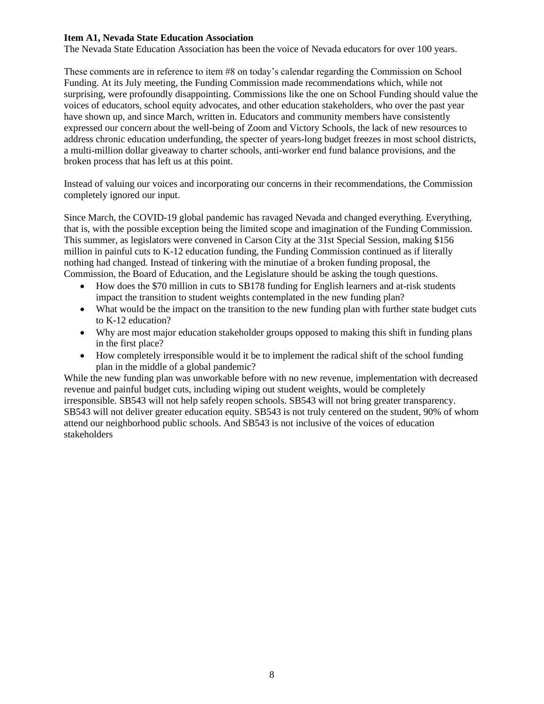#### **Item A1, Nevada State Education Association**

The Nevada State Education Association has been the voice of Nevada educators for over 100 years.

These comments are in reference to item #8 on today's calendar regarding the Commission on School Funding. At its July meeting, the Funding Commission made recommendations which, while not surprising, were profoundly disappointing. Commissions like the one on School Funding should value the voices of educators, school equity advocates, and other education stakeholders, who over the past year have shown up, and since March, written in. Educators and community members have consistently expressed our concern about the well-being of Zoom and Victory Schools, the lack of new resources to address chronic education underfunding, the specter of years-long budget freezes in most school districts, a multi-million dollar giveaway to charter schools, anti-worker end fund balance provisions, and the broken process that has left us at this point.

Instead of valuing our voices and incorporating our concerns in their recommendations, the Commission completely ignored our input.

Since March, the COVID-19 global pandemic has ravaged Nevada and changed everything. Everything, that is, with the possible exception being the limited scope and imagination of the Funding Commission. This summer, as legislators were convened in Carson City at the 31st Special Session, making \$156 million in painful cuts to K-12 education funding, the Funding Commission continued as if literally nothing had changed. Instead of tinkering with the minutiae of a broken funding proposal, the Commission, the Board of Education, and the Legislature should be asking the tough questions.

- How does the \$70 million in cuts to SB178 funding for English learners and at-risk students impact the transition to student weights contemplated in the new funding plan?
- What would be the impact on the transition to the new funding plan with further state budget cuts to K-12 education?
- Why are most major education stakeholder groups opposed to making this shift in funding plans in the first place?
- How completely irresponsible would it be to implement the radical shift of the school funding plan in the middle of a global pandemic?

While the new funding plan was unworkable before with no new revenue, implementation with decreased revenue and painful budget cuts, including wiping out student weights, would be completely irresponsible. SB543 will not help safely reopen schools. SB543 will not bring greater transparency. SB543 will not deliver greater education equity. SB543 is not truly centered on the student, 90% of whom attend our neighborhood public schools. And SB543 is not inclusive of the voices of education stakeholders